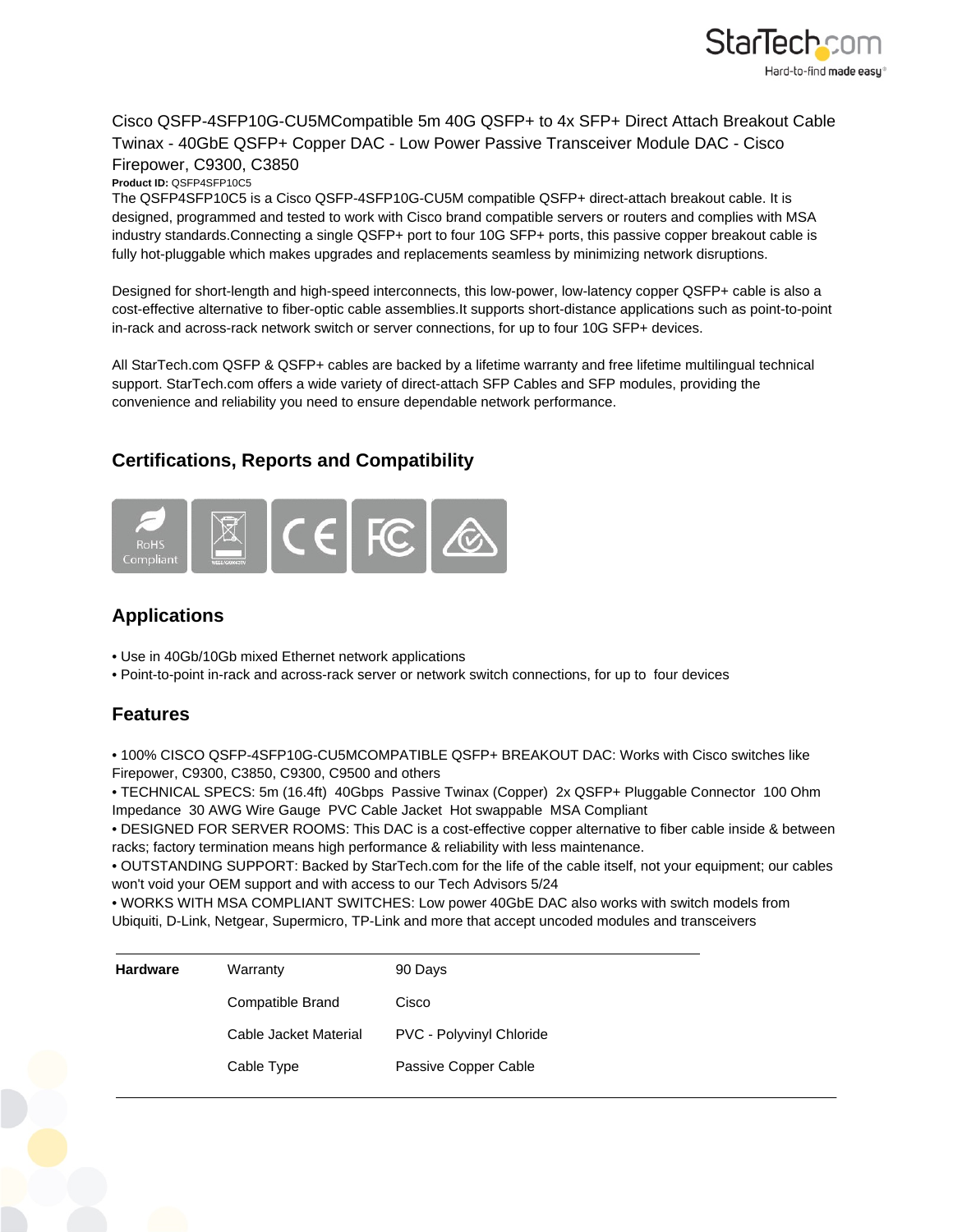

## Cisco QSFP-4SFP10G-CU5MCompatible 5m 40G QSFP+ to 4x SFP+ Direct Attach Breakout Cable Twinax - 40GbE QSFP+ Copper DAC - Low Power Passive Transceiver Module DAC - Cisco Firepower, C9300, C3850

**Product ID:** QSFP4SFP10C5

The QSFP4SFP10C5 is a Cisco QSFP-4SFP10G-CU5M compatible QSFP+ direct-attach breakout cable. It is designed, programmed and tested to work with Cisco brand compatible servers or routers and complies with MSA industry standards.Connecting a single QSFP+ port to four 10G SFP+ ports, this passive copper breakout cable is fully hot-pluggable which makes upgrades and replacements seamless by minimizing network disruptions.

Designed for short-length and high-speed interconnects, this low-power, low-latency copper QSFP+ cable is also a cost-effective alternative to fiber-optic cable assemblies.It supports short-distance applications such as point-to-point in-rack and across-rack network switch or server connections, for up to four 10G SFP+ devices.

All StarTech.com QSFP & QSFP+ cables are backed by a lifetime warranty and free lifetime multilingual technical support. StarTech.com offers a wide variety of direct-attach SFP Cables and SFP modules, providing the convenience and reliability you need to ensure dependable network performance.

## **Certifications, Reports and Compatibility**



## **Applications**

- Use in 40Gb/10Gb mixed Ethernet network applications
- Point-to-point in-rack and across-rack server or network switch connections, for up to four devices

## **Features**

• 100% CISCO QSFP-4SFP10G-CU5MCOMPATIBLE QSFP+ BREAKOUT DAC: Works with Cisco switches like Firepower, C9300, C3850, C9300, C9500 and others

• TECHNICAL SPECS: 5m (16.4ft) 40Gbps Passive Twinax (Copper) 2x QSFP+ Pluggable Connector 100 Ohm Impedance 30 AWG Wire Gauge PVC Cable Jacket Hot swappable MSA Compliant

• DESIGNED FOR SERVER ROOMS: This DAC is a cost-effective copper alternative to fiber cable inside & between racks; factory termination means high performance & reliability with less maintenance.

• OUTSTANDING SUPPORT: Backed by StarTech.com for the life of the cable itself, not your equipment; our cables won't void your OEM support and with access to our Tech Advisors 5/24

• WORKS WITH MSA COMPLIANT SWITCHES: Low power 40GbE DAC also works with switch models from Ubiquiti, D-Link, Netgear, Supermicro, TP-Link and more that accept uncoded modules and transceivers

| <b>Hardware</b> | Warranty              | 90 Days                         |
|-----------------|-----------------------|---------------------------------|
|                 | Compatible Brand      | Cisco                           |
|                 | Cable Jacket Material | <b>PVC - Polyvinyl Chloride</b> |
|                 | Cable Type            | Passive Copper Cable            |